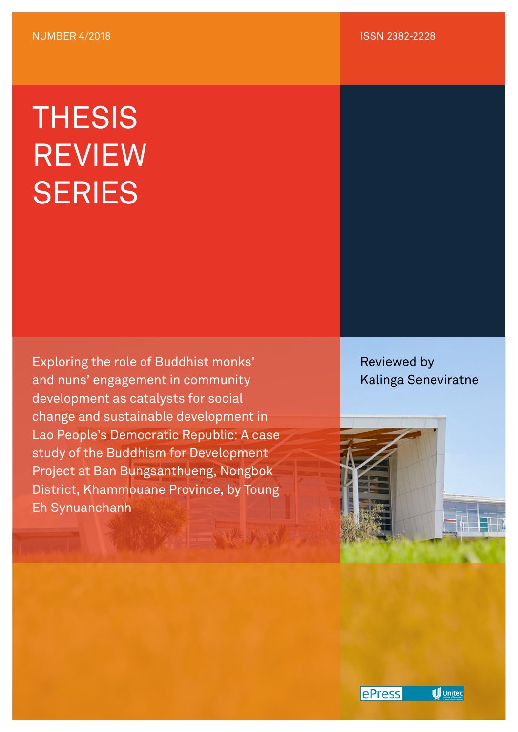## **THESIS** REVIEW **SERIES**

Exploring the role of Buddhist monks' and nuns' engagement in community development as catalysts for social change and sustainable development in Lao People's Democratic Republic: A case study of the Buddhism for Development Project at Ban Bungsanthueng, Nongbok District, Khammouane Province, by Toung Eh Synuanchanh

Reviewed by Kalinga Seneviratne



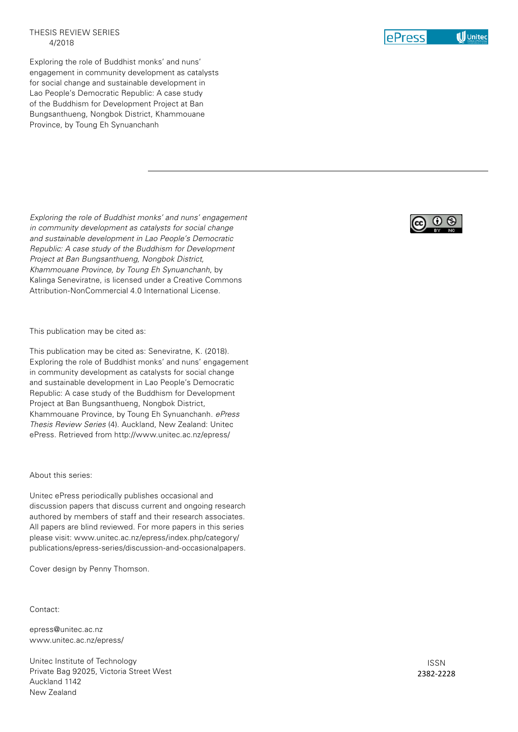## THESIS REVIEW SERIES 4/2018

Exploring the role of Buddhist monks' and nuns' engagement in community development as catalysts for social change and sustainable development in Lao People's Democratic Republic: A case study of the Buddhism for Development Project at Ban Bungsanthueng, Nongbok District, Khammouane Province, by Toung Eh Synuanchanh

*Exploring the role of Buddhist monks' and nuns' engagement in community development as catalysts for social change and sustainable development in Lao People's Democratic Republic: A case study of the Buddhism for Development Project at Ban Bungsanthueng, Nongbok District, Khammouane Province, by Toung Eh Synuanchanh*, by Kalinga Seneviratne, is licensed under a Creative Commons Attribution-NonCommercial 4.0 International License.

This publication may be cited as:

This publication may be cited as: Seneviratne, K. (2018). Exploring the role of Buddhist monks' and nuns' engagement in community development as catalysts for social change and sustainable development in Lao People's Democratic Republic: A case study of the Buddhism for Development Project at Ban Bungsanthueng, Nongbok District, Khammouane Province, by Toung Eh Synuanchanh. *ePress Thesis Review Series* (4). Auckland, New Zealand: Unitec ePress. Retrieved from http://www.unitec.ac.nz/epress/

## About this series:

Unitec ePress periodically publishes occasional and discussion papers that discuss current and ongoing research authored by members of staff and their research associates. All papers are blind reviewed. For more papers in this series please visit: www.unitec.ac.nz/epress/index.php/category/ publications/epress-series/discussion-and-occasionalpapers.

Cover design by Penny Thomson.

Contact:

epress@unitec.ac.nz www.unitec.ac.nz/epress/

Unitec Institute of Technology Private Bag 92025, Victoria Street West Auckland 1142 New Zealand





ISSN 2382-2228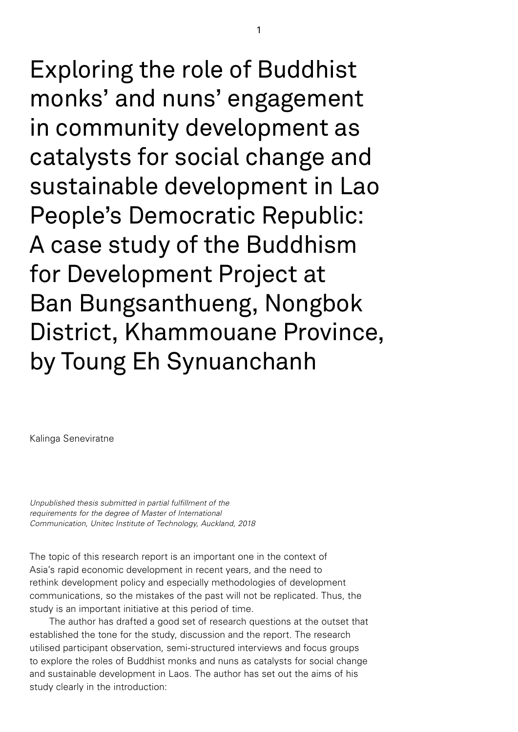Exploring the role of Buddhist monks' and nuns' engagement in community development as catalysts for social change and sustainable development in Lao People's Democratic Republic: A case study of the Buddhism for Development Project at Ban Bungsanthueng, Nongbok District, Khammouane Province, by Toung Eh Synuanchanh

Kalinga Seneviratne

*Unpublished thesis submitted in partial fulfillment of the requirements for the degree of Master of International Communication, Unitec Institute of Technology, Auckland, 2018*

The topic of this research report is an important one in the context of Asia's rapid economic development in recent years, and the need to rethink development policy and especially methodologies of development communications, so the mistakes of the past will not be replicated. Thus, the study is an important initiative at this period of time.

The author has drafted a good set of research questions at the outset that established the tone for the study, discussion and the report. The research utilised participant observation, semi-structured interviews and focus groups to explore the roles of Buddhist monks and nuns as catalysts for social change and sustainable development in Laos. The author has set out the aims of his study clearly in the introduction: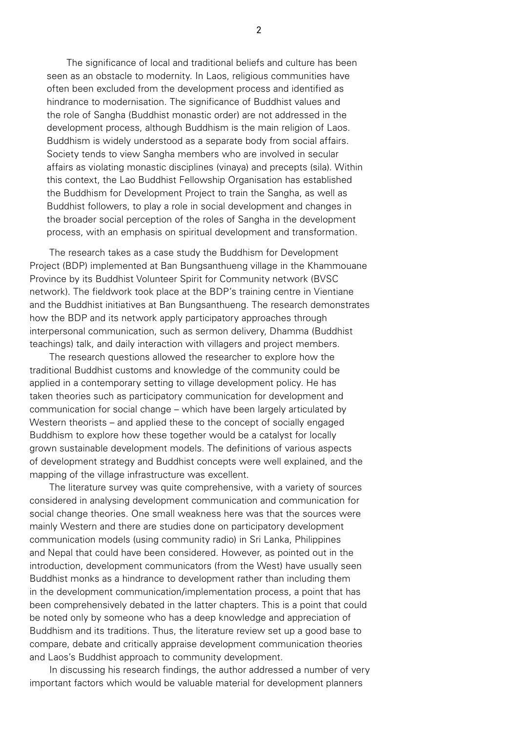The significance of local and traditional beliefs and culture has been seen as an obstacle to modernity. In Laos, religious communities have often been excluded from the development process and identified as hindrance to modernisation. The significance of Buddhist values and the role of Sangha (Buddhist monastic order) are not addressed in the development process, although Buddhism is the main religion of Laos. Buddhism is widely understood as a separate body from social affairs. Society tends to view Sangha members who are involved in secular affairs as violating monastic disciplines (vinaya) and precepts (sila). Within this context, the Lao Buddhist Fellowship Organisation has established the Buddhism for Development Project to train the Sangha, as well as Buddhist followers, to play a role in social development and changes in the broader social perception of the roles of Sangha in the development process, with an emphasis on spiritual development and transformation.

The research takes as a case study the Buddhism for Development Project (BDP) implemented at Ban Bungsanthueng village in the Khammouane Province by its Buddhist Volunteer Spirit for Community network (BVSC network). The fieldwork took place at the BDP's training centre in Vientiane and the Buddhist initiatives at Ban Bungsanthueng. The research demonstrates how the BDP and its network apply participatory approaches through interpersonal communication, such as sermon delivery, Dhamma (Buddhist teachings) talk, and daily interaction with villagers and project members.

The research questions allowed the researcher to explore how the traditional Buddhist customs and knowledge of the community could be applied in a contemporary setting to village development policy. He has taken theories such as participatory communication for development and communication for social change – which have been largely articulated by Western theorists – and applied these to the concept of socially engaged Buddhism to explore how these together would be a catalyst for locally grown sustainable development models. The definitions of various aspects of development strategy and Buddhist concepts were well explained, and the mapping of the village infrastructure was excellent.

The literature survey was quite comprehensive, with a variety of sources considered in analysing development communication and communication for social change theories. One small weakness here was that the sources were mainly Western and there are studies done on participatory development communication models (using community radio) in Sri Lanka, Philippines and Nepal that could have been considered. However, as pointed out in the introduction, development communicators (from the West) have usually seen Buddhist monks as a hindrance to development rather than including them in the development communication/implementation process, a point that has been comprehensively debated in the latter chapters. This is a point that could be noted only by someone who has a deep knowledge and appreciation of Buddhism and its traditions. Thus, the literature review set up a good base to compare, debate and critically appraise development communication theories and Laos's Buddhist approach to community development.

In discussing his research findings, the author addressed a number of very important factors which would be valuable material for development planners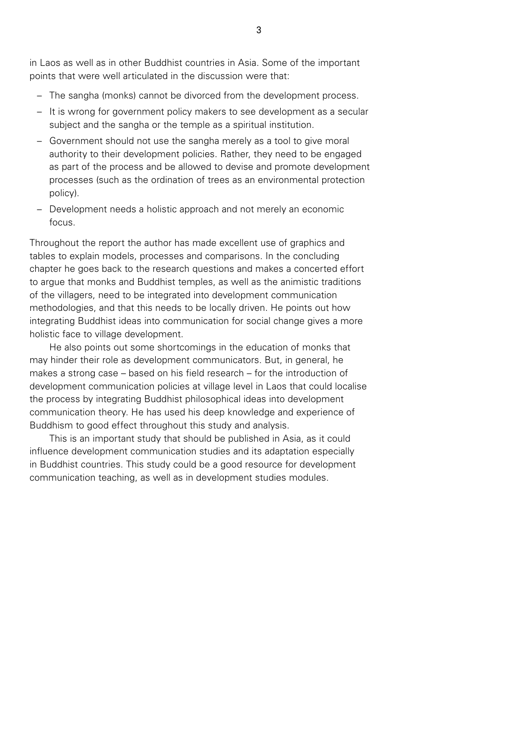in Laos as well as in other Buddhist countries in Asia. Some of the important points that were well articulated in the discussion were that:

- The sangha (monks) cannot be divorced from the development process.
- It is wrong for government policy makers to see development as a secular subject and the sangha or the temple as a spiritual institution.
- Government should not use the sangha merely as a tool to give moral authority to their development policies. Rather, they need to be engaged as part of the process and be allowed to devise and promote development processes (such as the ordination of trees as an environmental protection policy).
- Development needs a holistic approach and not merely an economic focus.

Throughout the report the author has made excellent use of graphics and tables to explain models, processes and comparisons. In the concluding chapter he goes back to the research questions and makes a concerted effort to argue that monks and Buddhist temples, as well as the animistic traditions of the villagers, need to be integrated into development communication methodologies, and that this needs to be locally driven. He points out how integrating Buddhist ideas into communication for social change gives a more holistic face to village development.

He also points out some shortcomings in the education of monks that may hinder their role as development communicators. But, in general, he makes a strong case – based on his field research – for the introduction of development communication policies at village level in Laos that could localise the process by integrating Buddhist philosophical ideas into development communication theory. He has used his deep knowledge and experience of Buddhism to good effect throughout this study and analysis.

This is an important study that should be published in Asia, as it could influence development communication studies and its adaptation especially in Buddhist countries. This study could be a good resource for development communication teaching, as well as in development studies modules.